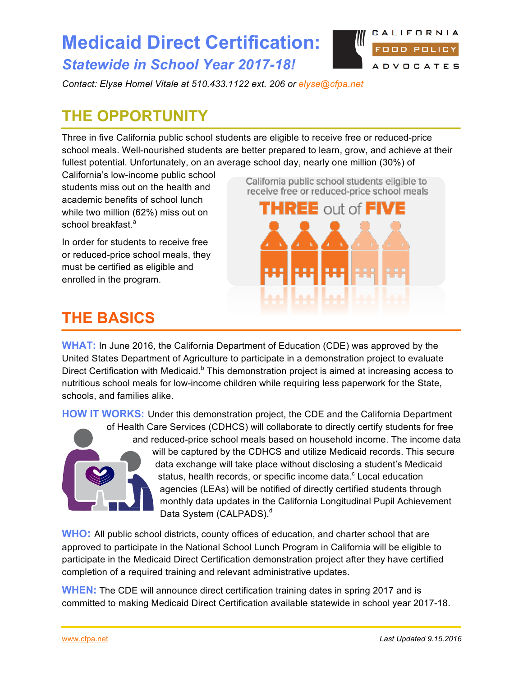## **Medicaid Direct Certification:**  *Statewide in School Year 2017-18!*



*Contact: Elyse Homel Vitale at 510.433.1122 ext. 206 or [elyse@cfpa.net](mailto:elyse@cfpa.net)* 

# **THE OPPORTUNITY**

Three in five California public school students are eligible to receive free or reduced-price school meals. Well-nourished students are better prepared to learn, grow, and achieve at their fullest potential. Unfortunately, on an average school day, nearly one million (30%) of

California's low-income public school students miss out on the health and academic benefits of school lunch while two million (62%) miss out on school breakfast.<sup>a</sup>

In order for students to receive free or reduced-price school meals, they must be certified as eligible and enrolled in the program.

California public school students eligible to receive free or reduced-price school meals



## **THE BASICS**

**WHAT:** In June 2016, the California Department of Education (CDE) was approved by the United States Department of Agriculture to participate in a demonstration project to evaluate Direct Certification with Medicaid.<sup>b</sup> This demonstration project is aimed at increasing access to nutritious school meals for low-income children while requiring less paperwork for the State, schools, and families alike.

**HOW IT WORKS:** Under this demonstration project, the CDE and the California Department



of Health Care Services (CDHCS) will collaborate to directly certify students for free and reduced-price school meals based on household income. The income data will be captured by the CDHCS and utilize Medicaid records. This secure data exchange will take place without disclosing a student's Medicaid status, health records, or specific income data.<sup>c</sup> Local education agencies (LEAs) will be notified of directly certified students through monthly data updates in the California Longitudinal Pupil Achievement Data System (CALPADS).<sup>d</sup>

**WHO:** All public school districts, county offices of education, and charter school that are approved to participate in the National School Lunch Program in California will be eligible to participate in the Medicaid Direct Certification demonstration project after they have certified completion of a required training and relevant administrative updates.

**WHEN:** The CDE will announce direct certification training dates in spring 2017 and is committed to making Medicaid Direct Certification available statewide in school year 2017-18.